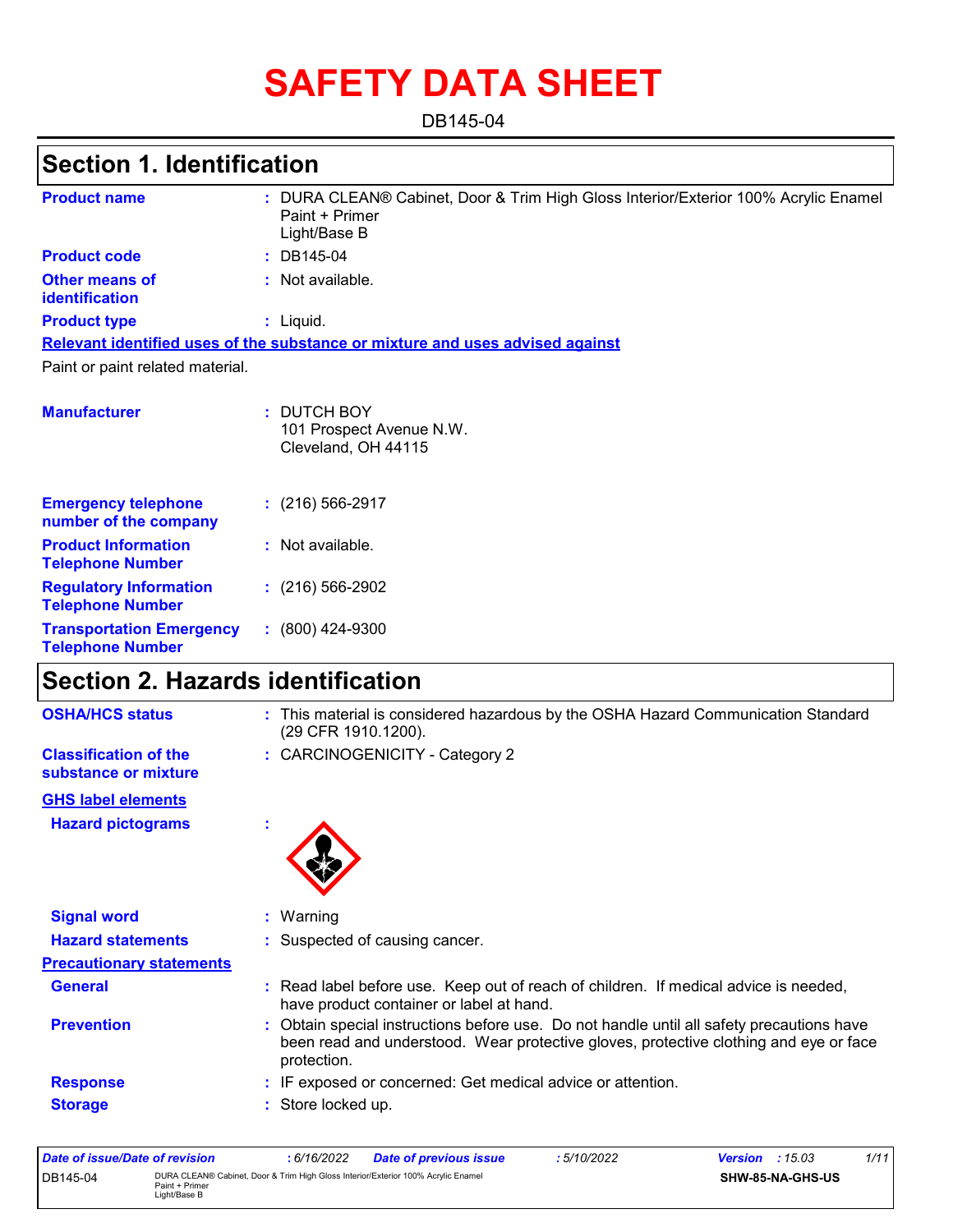# **SAFETY DATA SHEET**

DB145-04

## **Section 1. Identification**

| <b>Product name</b>                                        | : DURA CLEAN® Cabinet, Door & Trim High Gloss Interior/Exterior 100% Acrylic Enamel<br>Paint + Primer<br>Light/Base B |
|------------------------------------------------------------|-----------------------------------------------------------------------------------------------------------------------|
| <b>Product code</b>                                        | $: DB145-04$                                                                                                          |
| <b>Other means of</b><br>identification                    | : Not available.                                                                                                      |
| <b>Product type</b>                                        | : Liquid.                                                                                                             |
|                                                            | Relevant identified uses of the substance or mixture and uses advised against                                         |
| Paint or paint related material.                           |                                                                                                                       |
| <b>Manufacturer</b>                                        | : DUTCH BOY<br>101 Prospect Avenue N.W.<br>Cleveland, OH 44115                                                        |
| <b>Emergency telephone</b><br>number of the company        | $(216)$ 566-2917                                                                                                      |
| <b>Product Information</b><br><b>Telephone Number</b>      | : Not available.                                                                                                      |
| <b>Regulatory Information</b><br><b>Telephone Number</b>   | $(216)$ 566-2902                                                                                                      |
| <b>Transportation Emergency</b><br><b>Telephone Number</b> | $: (800)$ 424-9300                                                                                                    |

## **Section 2. Hazards identification**

| <b>OSHA/HCS status</b>                               | : This material is considered hazardous by the OSHA Hazard Communication Standard<br>(29 CFR 1910.1200).                                                                                          |  |
|------------------------------------------------------|---------------------------------------------------------------------------------------------------------------------------------------------------------------------------------------------------|--|
| <b>Classification of the</b><br>substance or mixture | : CARCINOGENICITY - Category 2                                                                                                                                                                    |  |
| <b>GHS label elements</b>                            |                                                                                                                                                                                                   |  |
| <b>Hazard pictograms</b>                             | t                                                                                                                                                                                                 |  |
| <b>Signal word</b>                                   | $:$ Warning                                                                                                                                                                                       |  |
| <b>Hazard statements</b>                             | : Suspected of causing cancer.                                                                                                                                                                    |  |
| <b>Precautionary statements</b>                      |                                                                                                                                                                                                   |  |
| <b>General</b>                                       | : Read label before use. Keep out of reach of children. If medical advice is needed,<br>have product container or label at hand.                                                                  |  |
| <b>Prevention</b>                                    | : Obtain special instructions before use. Do not handle until all safety precautions have<br>been read and understood. Wear protective gloves, protective clothing and eye or face<br>protection. |  |
| <b>Response</b>                                      | : IF exposed or concerned: Get medical advice or attention.                                                                                                                                       |  |
| <b>Storage</b>                                       | : Store locked up.                                                                                                                                                                                |  |

| Date of issue/Date of revision |                                                                                                                     | 6/16/2022 | <b>Date of previous issue</b> | 5/10/2022               | 1/11<br><b>Version</b> : $15.03$ |
|--------------------------------|---------------------------------------------------------------------------------------------------------------------|-----------|-------------------------------|-------------------------|----------------------------------|
| DB145-04                       | DURA CLEAN® Cabinet, Door & Trim High Gloss Interior/Exterior 100% Acrylic Enamel<br>Paint + Primer<br>Light/Base B |           |                               | <b>SHW-85-NA-GHS-US</b> |                                  |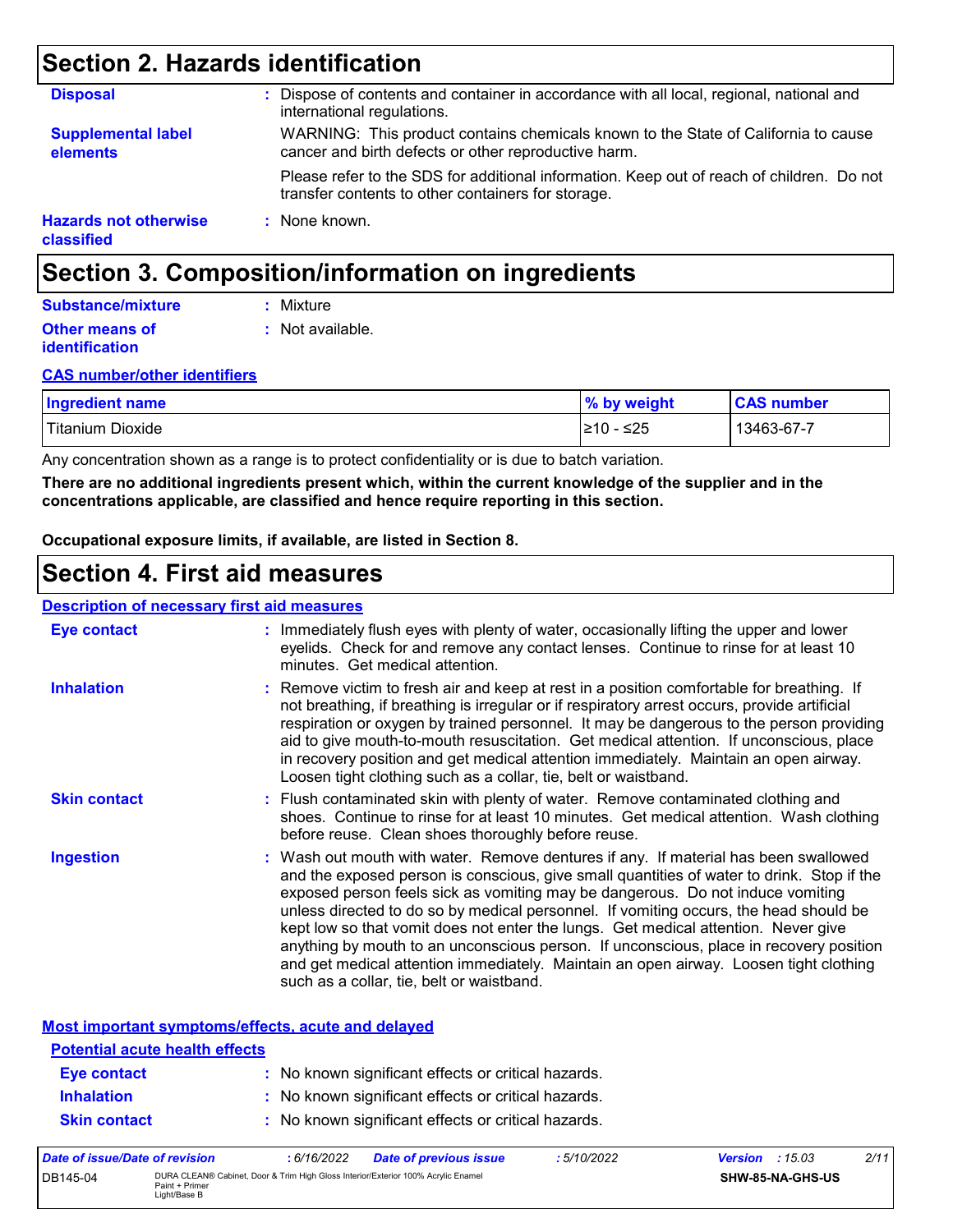## **Section 2. Hazards identification**

| <b>Disposal</b>                            | Dispose of contents and container in accordance with all local, regional, national and<br>international regulations.                            |
|--------------------------------------------|-------------------------------------------------------------------------------------------------------------------------------------------------|
| <b>Supplemental label</b><br>elements      | WARNING: This product contains chemicals known to the State of California to cause<br>cancer and birth defects or other reproductive harm.      |
|                                            | Please refer to the SDS for additional information. Keep out of reach of children. Do not<br>transfer contents to other containers for storage. |
| <b>Hazards not otherwise</b><br>classified | : None known.                                                                                                                                   |

## **Section 3. Composition/information on ingredients**

#### **Other means of identification :** Not available. **Substance/mixture :** Mixture

#### **CAS number/other identifiers**

| <b>Ingredient name</b> | % by weight | <b>CAS number</b> |
|------------------------|-------------|-------------------|
| Titanium Dioxide       | l≥10 - ≤25  | 13463-67-7        |

Any concentration shown as a range is to protect confidentiality or is due to batch variation.

**There are no additional ingredients present which, within the current knowledge of the supplier and in the concentrations applicable, are classified and hence require reporting in this section.**

**Occupational exposure limits, if available, are listed in Section 8.**

### **Section 4. First aid measures**

#### **Description of necessary first aid measures**

| <b>Eye contact</b>  | : Immediately flush eyes with plenty of water, occasionally lifting the upper and lower<br>eyelids. Check for and remove any contact lenses. Continue to rinse for at least 10<br>minutes. Get medical attention.                                                                                                                                                                                                                                                                                                                                                                                                                                                                 |
|---------------------|-----------------------------------------------------------------------------------------------------------------------------------------------------------------------------------------------------------------------------------------------------------------------------------------------------------------------------------------------------------------------------------------------------------------------------------------------------------------------------------------------------------------------------------------------------------------------------------------------------------------------------------------------------------------------------------|
| <b>Inhalation</b>   | : Remove victim to fresh air and keep at rest in a position comfortable for breathing. If<br>not breathing, if breathing is irregular or if respiratory arrest occurs, provide artificial<br>respiration or oxygen by trained personnel. It may be dangerous to the person providing<br>aid to give mouth-to-mouth resuscitation. Get medical attention. If unconscious, place<br>in recovery position and get medical attention immediately. Maintain an open airway.<br>Loosen tight clothing such as a collar, tie, belt or waistband.                                                                                                                                         |
| <b>Skin contact</b> | : Flush contaminated skin with plenty of water. Remove contaminated clothing and<br>shoes. Continue to rinse for at least 10 minutes. Get medical attention. Wash clothing<br>before reuse. Clean shoes thoroughly before reuse.                                                                                                                                                                                                                                                                                                                                                                                                                                                  |
| <b>Ingestion</b>    | : Wash out mouth with water. Remove dentures if any. If material has been swallowed<br>and the exposed person is conscious, give small quantities of water to drink. Stop if the<br>exposed person feels sick as vomiting may be dangerous. Do not induce vomiting<br>unless directed to do so by medical personnel. If vomiting occurs, the head should be<br>kept low so that vomit does not enter the lungs. Get medical attention. Never give<br>anything by mouth to an unconscious person. If unconscious, place in recovery position<br>and get medical attention immediately. Maintain an open airway. Loosen tight clothing<br>such as a collar, tie, belt or waistband. |

**Most important symptoms/effects, acute and delayed**

| Data of incura/Data of variation      | 6/40/000<br>Data of nuovisus issue<br>F/10/0000     | $\frac{1}{2}$ | 0/4 |
|---------------------------------------|-----------------------------------------------------|---------------|-----|
| <b>Skin contact</b>                   | : No known significant effects or critical hazards. |               |     |
| <b>Inhalation</b>                     | : No known significant effects or critical hazards. |               |     |
| <b>Eye contact</b>                    | : No known significant effects or critical hazards. |               |     |
| <b>Potential acute health effects</b> |                                                     |               |     |

| Date of issue/Date of revision |                                                                                                                     | 6/16/2022 | Date of previous issue | : 5/10/2022 | <b>Version</b> : $15.03$ |                         | 2/11 |
|--------------------------------|---------------------------------------------------------------------------------------------------------------------|-----------|------------------------|-------------|--------------------------|-------------------------|------|
| DB145-04                       | DURA CLEAN® Cabinet, Door & Trim High Gloss Interior/Exterior 100% Acrylic Enamel<br>Paint + Primer<br>Light/Base B |           |                        |             |                          | <b>SHW-85-NA-GHS-US</b> |      |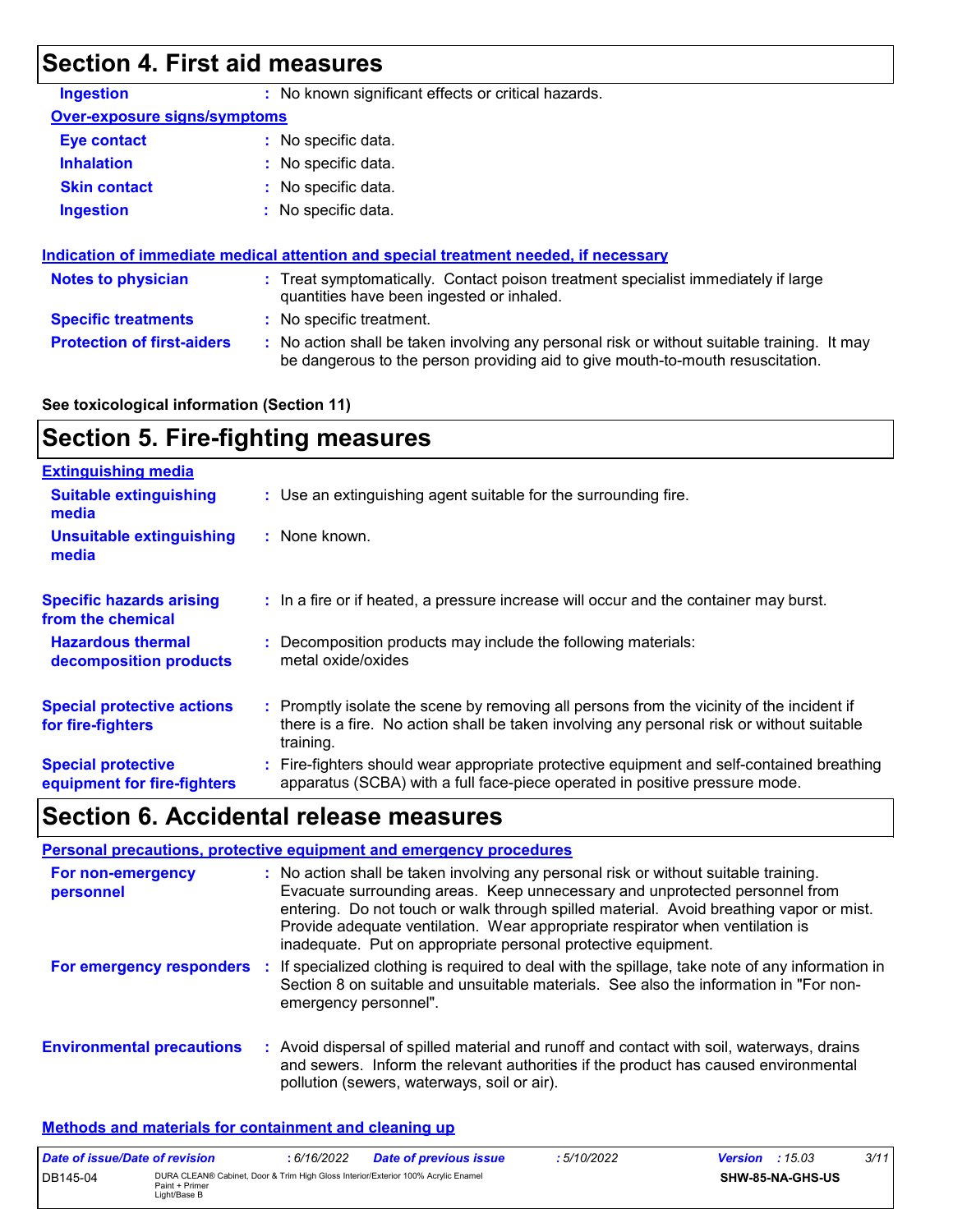## **Section 4. First aid measures**

| <b>Ingestion</b>                    | : No known significant effects or critical hazards.                                                                                                                           |  |
|-------------------------------------|-------------------------------------------------------------------------------------------------------------------------------------------------------------------------------|--|
| <b>Over-exposure signs/symptoms</b> |                                                                                                                                                                               |  |
| Eye contact                         | : No specific data.                                                                                                                                                           |  |
| <b>Inhalation</b>                   | : No specific data.                                                                                                                                                           |  |
| <b>Skin contact</b>                 | : No specific data.                                                                                                                                                           |  |
| <b>Ingestion</b>                    | $:$ No specific data.                                                                                                                                                         |  |
|                                     | Indication of immediate medical attention and special treatment needed, if necessary                                                                                          |  |
| <b>Notes to physician</b>           | : Treat symptomatically. Contact poison treatment specialist immediately if large<br>quantities have been ingested or inhaled.                                                |  |
| <b>Specific treatments</b>          | : No specific treatment.                                                                                                                                                      |  |
| <b>Protection of first-aiders</b>   | : No action shall be taken involving any personal risk or without suitable training. It may<br>be dangerous to the person providing aid to give mouth-to-mouth resuscitation. |  |

#### **See toxicological information (Section 11)**

## **Section 5. Fire-fighting measures**

| <b>Extinguishing media</b>                               |                                                                                                                                                                                                     |
|----------------------------------------------------------|-----------------------------------------------------------------------------------------------------------------------------------------------------------------------------------------------------|
| <b>Suitable extinguishing</b><br>media                   | : Use an extinguishing agent suitable for the surrounding fire.                                                                                                                                     |
| <b>Unsuitable extinguishing</b><br>media                 | $:$ None known.                                                                                                                                                                                     |
| <b>Specific hazards arising</b><br>from the chemical     | : In a fire or if heated, a pressure increase will occur and the container may burst.                                                                                                               |
| <b>Hazardous thermal</b><br>decomposition products       | Decomposition products may include the following materials:<br>metal oxide/oxides                                                                                                                   |
| <b>Special protective actions</b><br>for fire-fighters   | : Promptly isolate the scene by removing all persons from the vicinity of the incident if<br>there is a fire. No action shall be taken involving any personal risk or without suitable<br>training. |
| <b>Special protective</b><br>equipment for fire-fighters | Fire-fighters should wear appropriate protective equipment and self-contained breathing<br>apparatus (SCBA) with a full face-piece operated in positive pressure mode.                              |

## **Section 6. Accidental release measures**

|                                  | Personal precautions, protective equipment and emergency procedures                                                                                                                                                                                                                                                                                                                                              |
|----------------------------------|------------------------------------------------------------------------------------------------------------------------------------------------------------------------------------------------------------------------------------------------------------------------------------------------------------------------------------------------------------------------------------------------------------------|
| For non-emergency<br>personnel   | : No action shall be taken involving any personal risk or without suitable training.<br>Evacuate surrounding areas. Keep unnecessary and unprotected personnel from<br>entering. Do not touch or walk through spilled material. Avoid breathing vapor or mist.<br>Provide adequate ventilation. Wear appropriate respirator when ventilation is<br>inadequate. Put on appropriate personal protective equipment. |
|                                  | For emergency responders : If specialized clothing is required to deal with the spillage, take note of any information in<br>Section 8 on suitable and unsuitable materials. See also the information in "For non-<br>emergency personnel".                                                                                                                                                                      |
| <b>Environmental precautions</b> | : Avoid dispersal of spilled material and runoff and contact with soil, waterways, drains<br>and sewers. Inform the relevant authorities if the product has caused environmental<br>pollution (sewers, waterways, soil or air).                                                                                                                                                                                  |

#### **Methods and materials for containment and cleaning up**

| Date of issue/Date of revision |                                                                                                                     | 6/16/2022 | <b>Date of previous issue</b> | 5/10/2022 | <b>Version</b> : $15.03$ |  | 3/11 |
|--------------------------------|---------------------------------------------------------------------------------------------------------------------|-----------|-------------------------------|-----------|--------------------------|--|------|
| DB145-04                       | DURA CLEAN® Cabinet, Door & Trim High Gloss Interior/Exterior 100% Acrylic Enamel<br>Paint + Primer<br>Light/Base B |           |                               |           | <b>SHW-85-NA-GHS-US</b>  |  |      |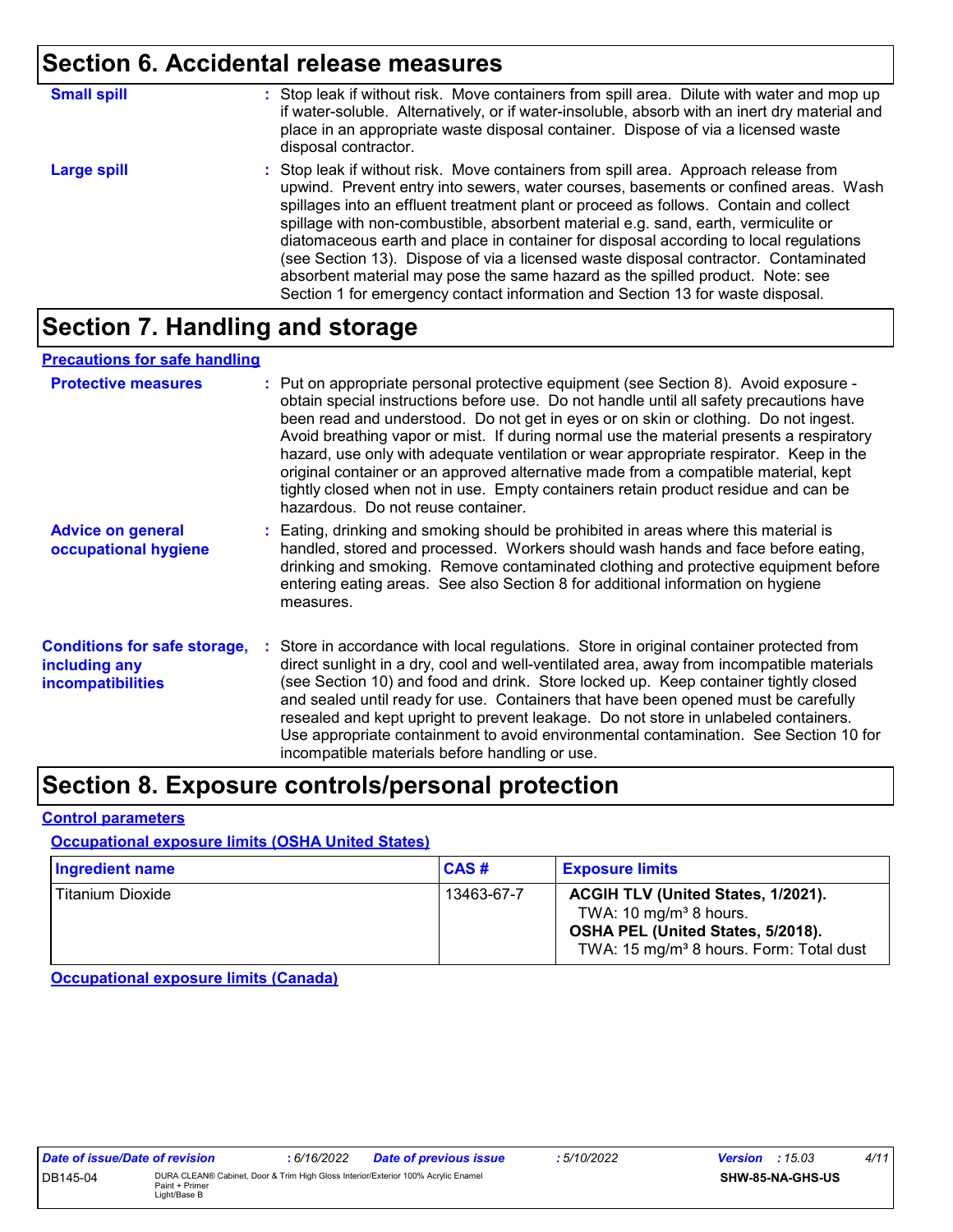## **Section 6. Accidental release measures**

| <b>Small spill</b> | : Stop leak if without risk. Move containers from spill area. Dilute with water and mop up<br>if water-soluble. Alternatively, or if water-insoluble, absorb with an inert dry material and<br>place in an appropriate waste disposal container. Dispose of via a licensed waste<br>disposal contractor.                                                                                                                                                                                                                                                                                                                                                                                                     |
|--------------------|--------------------------------------------------------------------------------------------------------------------------------------------------------------------------------------------------------------------------------------------------------------------------------------------------------------------------------------------------------------------------------------------------------------------------------------------------------------------------------------------------------------------------------------------------------------------------------------------------------------------------------------------------------------------------------------------------------------|
| <b>Large spill</b> | : Stop leak if without risk. Move containers from spill area. Approach release from<br>upwind. Prevent entry into sewers, water courses, basements or confined areas. Wash<br>spillages into an effluent treatment plant or proceed as follows. Contain and collect<br>spillage with non-combustible, absorbent material e.g. sand, earth, vermiculite or<br>diatomaceous earth and place in container for disposal according to local regulations<br>(see Section 13). Dispose of via a licensed waste disposal contractor. Contaminated<br>absorbent material may pose the same hazard as the spilled product. Note: see<br>Section 1 for emergency contact information and Section 13 for waste disposal. |

## **Section 7. Handling and storage**

#### **Precautions for safe handling**

| <b>Protective measures</b>                                                       | : Put on appropriate personal protective equipment (see Section 8). Avoid exposure -<br>obtain special instructions before use. Do not handle until all safety precautions have<br>been read and understood. Do not get in eyes or on skin or clothing. Do not ingest.<br>Avoid breathing vapor or mist. If during normal use the material presents a respiratory<br>hazard, use only with adequate ventilation or wear appropriate respirator. Keep in the<br>original container or an approved alternative made from a compatible material, kept<br>tightly closed when not in use. Empty containers retain product residue and can be<br>hazardous. Do not reuse container. |
|----------------------------------------------------------------------------------|--------------------------------------------------------------------------------------------------------------------------------------------------------------------------------------------------------------------------------------------------------------------------------------------------------------------------------------------------------------------------------------------------------------------------------------------------------------------------------------------------------------------------------------------------------------------------------------------------------------------------------------------------------------------------------|
| <b>Advice on general</b><br>occupational hygiene                                 | : Eating, drinking and smoking should be prohibited in areas where this material is<br>handled, stored and processed. Workers should wash hands and face before eating,<br>drinking and smoking. Remove contaminated clothing and protective equipment before<br>entering eating areas. See also Section 8 for additional information on hygiene<br>measures.                                                                                                                                                                                                                                                                                                                  |
| <b>Conditions for safe storage,</b><br>including any<br><b>incompatibilities</b> | Store in accordance with local regulations. Store in original container protected from<br>direct sunlight in a dry, cool and well-ventilated area, away from incompatible materials<br>(see Section 10) and food and drink. Store locked up. Keep container tightly closed<br>and sealed until ready for use. Containers that have been opened must be carefully<br>resealed and kept upright to prevent leakage. Do not store in unlabeled containers.<br>Use appropriate containment to avoid environmental contamination. See Section 10 for<br>incompatible materials before handling or use.                                                                              |

## **Section 8. Exposure controls/personal protection**

#### **Control parameters**

#### **Occupational exposure limits (OSHA United States)**

| Ingredient name  | CAS#       | <b>Exposure limits</b>                                                                                                                                               |
|------------------|------------|----------------------------------------------------------------------------------------------------------------------------------------------------------------------|
| Titanium Dioxide | 13463-67-7 | ACGIH TLV (United States, 1/2021).<br>TWA: 10 mg/m <sup>3</sup> 8 hours.<br>OSHA PEL (United States, 5/2018).<br>TWA: 15 mg/m <sup>3</sup> 8 hours. Form: Total dust |

**Occupational exposure limits (Canada)**

| Date of issue/Date of revision |                                                                                                                     | : 6/16/2022 | <b>Date of previous issue</b> | : 5/10/2022 | <b>Version</b> : $15.03$ |                  | 4/11 |
|--------------------------------|---------------------------------------------------------------------------------------------------------------------|-------------|-------------------------------|-------------|--------------------------|------------------|------|
| DB145-04                       | DURA CLEAN® Cabinet, Door & Trim High Gloss Interior/Exterior 100% Acrylic Enamel<br>Paint + Primer<br>Light/Base B |             |                               |             |                          | SHW-85-NA-GHS-US |      |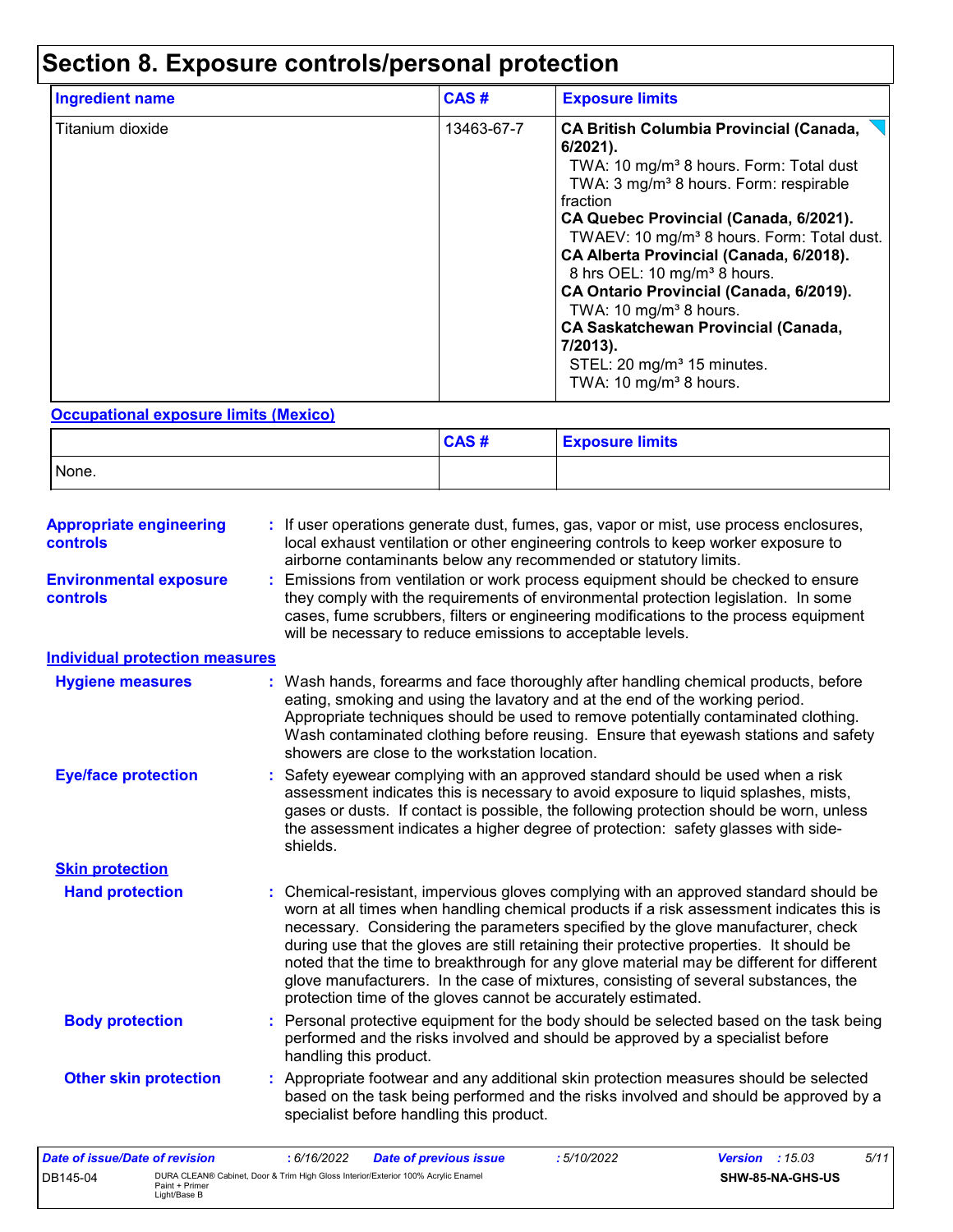## **Section 8. Exposure controls/personal protection**

| Ingredient name  | CAS#       | <b>Exposure limits</b>                                                                                                                                                                                                                                                                                                                                                                                                                                                                                                                                                                                       |
|------------------|------------|--------------------------------------------------------------------------------------------------------------------------------------------------------------------------------------------------------------------------------------------------------------------------------------------------------------------------------------------------------------------------------------------------------------------------------------------------------------------------------------------------------------------------------------------------------------------------------------------------------------|
| Titanium dioxide | 13463-67-7 | <b>CA British Columbia Provincial (Canada,</b><br>$6/2021$ ).<br>TWA: 10 mg/m <sup>3</sup> 8 hours. Form: Total dust<br>TWA: 3 mg/m <sup>3</sup> 8 hours. Form: respirable<br>fraction<br>CA Quebec Provincial (Canada, 6/2021).<br>TWAEV: 10 mg/m <sup>3</sup> 8 hours. Form: Total dust.<br>CA Alberta Provincial (Canada, 6/2018).<br>8 hrs OEL: 10 mg/m <sup>3</sup> 8 hours.<br>CA Ontario Provincial (Canada, 6/2019).<br>TWA: 10 mg/m <sup>3</sup> 8 hours.<br><b>CA Saskatchewan Provincial (Canada,</b><br>7/2013).<br>STEL: 20 mg/m <sup>3</sup> 15 minutes.<br>TWA: 10 mg/m <sup>3</sup> 8 hours. |

#### **Occupational exposure limits (Mexico)**

|       | CAS# | <b>Exposure limits</b> |
|-------|------|------------------------|
| None. |      |                        |

| <b>Appropriate engineering</b><br><b>controls</b> |   | If user operations generate dust, fumes, gas, vapor or mist, use process enclosures,<br>local exhaust ventilation or other engineering controls to keep worker exposure to<br>airborne contaminants below any recommended or statutory limits.                                                                                                                                                                                                                                                                                                                                                                       |
|---------------------------------------------------|---|----------------------------------------------------------------------------------------------------------------------------------------------------------------------------------------------------------------------------------------------------------------------------------------------------------------------------------------------------------------------------------------------------------------------------------------------------------------------------------------------------------------------------------------------------------------------------------------------------------------------|
| <b>Environmental exposure</b><br>controls         |   | Emissions from ventilation or work process equipment should be checked to ensure<br>they comply with the requirements of environmental protection legislation. In some<br>cases, fume scrubbers, filters or engineering modifications to the process equipment<br>will be necessary to reduce emissions to acceptable levels.                                                                                                                                                                                                                                                                                        |
| <b>Individual protection measures</b>             |   |                                                                                                                                                                                                                                                                                                                                                                                                                                                                                                                                                                                                                      |
| <b>Hygiene measures</b>                           |   | Wash hands, forearms and face thoroughly after handling chemical products, before<br>eating, smoking and using the lavatory and at the end of the working period.<br>Appropriate techniques should be used to remove potentially contaminated clothing.<br>Wash contaminated clothing before reusing. Ensure that eyewash stations and safety<br>showers are close to the workstation location.                                                                                                                                                                                                                      |
| <b>Eye/face protection</b>                        |   | Safety eyewear complying with an approved standard should be used when a risk<br>assessment indicates this is necessary to avoid exposure to liquid splashes, mists,<br>gases or dusts. If contact is possible, the following protection should be worn, unless<br>the assessment indicates a higher degree of protection: safety glasses with side-<br>shields.                                                                                                                                                                                                                                                     |
| <b>Skin protection</b>                            |   |                                                                                                                                                                                                                                                                                                                                                                                                                                                                                                                                                                                                                      |
| <b>Hand protection</b>                            |   | Chemical-resistant, impervious gloves complying with an approved standard should be<br>worn at all times when handling chemical products if a risk assessment indicates this is<br>necessary. Considering the parameters specified by the glove manufacturer, check<br>during use that the gloves are still retaining their protective properties. It should be<br>noted that the time to breakthrough for any glove material may be different for different<br>glove manufacturers. In the case of mixtures, consisting of several substances, the<br>protection time of the gloves cannot be accurately estimated. |
| <b>Body protection</b>                            | ÷ | Personal protective equipment for the body should be selected based on the task being<br>performed and the risks involved and should be approved by a specialist before<br>handling this product.                                                                                                                                                                                                                                                                                                                                                                                                                    |
| <b>Other skin protection</b>                      |   | Appropriate footwear and any additional skin protection measures should be selected<br>based on the task being performed and the risks involved and should be approved by a<br>specialist before handling this product.                                                                                                                                                                                                                                                                                                                                                                                              |

| Date of issue/Date of revision |                                                                                                                     | : 6/16/2022 | <b>Date of previous issue</b> | 5/10/2022 | <b>Version</b> : $15.03$ |                         | 5/11 |
|--------------------------------|---------------------------------------------------------------------------------------------------------------------|-------------|-------------------------------|-----------|--------------------------|-------------------------|------|
| DB145-04                       | DURA CLEAN® Cabinet, Door & Trim High Gloss Interior/Exterior 100% Acrylic Enamel<br>Paint + Primer<br>Light/Base B |             |                               |           |                          | <b>SHW-85-NA-GHS-US</b> |      |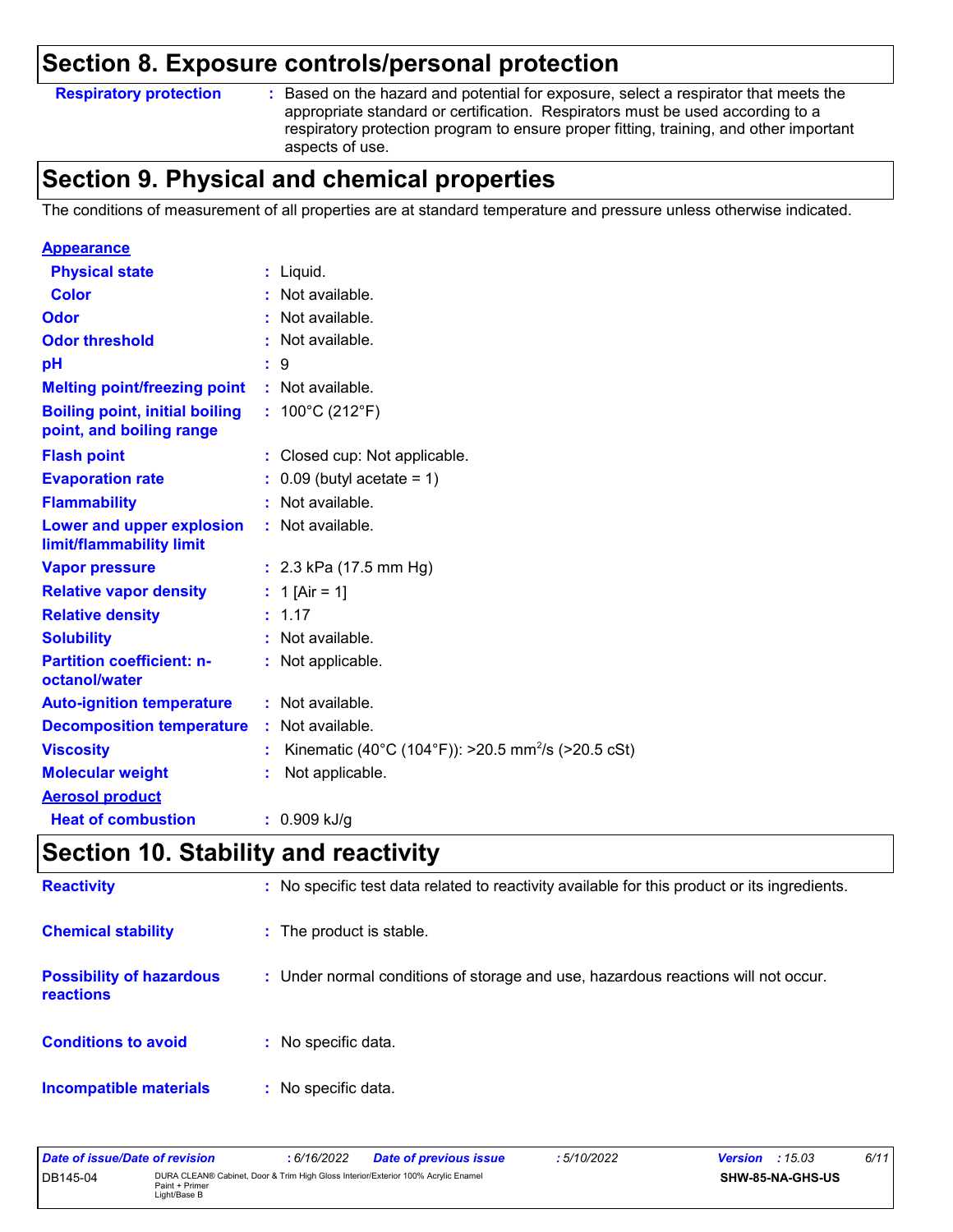### **Section 8. Exposure controls/personal protection**

#### **Respiratory protection :**

Based on the hazard and potential for exposure, select a respirator that meets the appropriate standard or certification. Respirators must be used according to a respiratory protection program to ensure proper fitting, training, and other important aspects of use.

## **Section 9. Physical and chemical properties**

The conditions of measurement of all properties are at standard temperature and pressure unless otherwise indicated.

| <b>Appearance</b>                                                 |                                                                      |
|-------------------------------------------------------------------|----------------------------------------------------------------------|
| <b>Physical state</b>                                             | $:$ Liquid.                                                          |
| <b>Color</b>                                                      | : Not available.                                                     |
| Odor                                                              | : Not available.                                                     |
| <b>Odor threshold</b>                                             | Not available.                                                       |
| рH                                                                | $\therefore$ 9                                                       |
| <b>Melting point/freezing point</b>                               | : Not available.                                                     |
| <b>Boiling point, initial boiling</b><br>point, and boiling range | : $100^{\circ}$ C (212 $^{\circ}$ F)                                 |
| <b>Flash point</b>                                                | : Closed cup: Not applicable.                                        |
| <b>Evaporation rate</b>                                           | $\therefore$ 0.09 (butyl acetate = 1)                                |
| <b>Flammability</b>                                               | $:$ Not available.                                                   |
| Lower and upper explosion<br>limit/flammability limit             | : Not available.                                                     |
| <b>Vapor pressure</b>                                             | : $2.3$ kPa (17.5 mm Hg)                                             |
| <b>Relative vapor density</b>                                     | : 1 [Air = 1]                                                        |
| <b>Relative density</b>                                           | : 1.17                                                               |
| <b>Solubility</b>                                                 | : Not available.                                                     |
| <b>Partition coefficient: n-</b><br>octanol/water                 | : Not applicable.                                                    |
| <b>Auto-ignition temperature</b>                                  | : Not available.                                                     |
| <b>Decomposition temperature</b>                                  | : Not available.                                                     |
| <b>Viscosity</b>                                                  | Kinematic (40°C (104°F)): >20.5 mm <sup>2</sup> /s (>20.5 cSt)<br>÷. |
| <b>Molecular weight</b>                                           | Not applicable.<br>÷.                                                |
| <b>Aerosol product</b>                                            |                                                                      |
| <b>Heat of combustion</b>                                         | $: 0.909$ kJ/g                                                       |

## **Section 10. Stability and reactivity**

| <b>Reactivity</b>                            | : No specific test data related to reactivity available for this product or its ingredients. |
|----------------------------------------------|----------------------------------------------------------------------------------------------|
| <b>Chemical stability</b>                    | : The product is stable.                                                                     |
| <b>Possibility of hazardous</b><br>reactions | : Under normal conditions of storage and use, hazardous reactions will not occur.            |
| <b>Conditions to avoid</b>                   | : No specific data.                                                                          |
| <b>Incompatible materials</b>                | : No specific data.                                                                          |

| Date of issue/Date of revision                                                                                                  |  | : 6/16/2022 | <b>Date of previous issue</b> | 5/10/2022        | <b>Version</b> : $15.03$ |  | 6/11 |
|---------------------------------------------------------------------------------------------------------------------------------|--|-------------|-------------------------------|------------------|--------------------------|--|------|
| DURA CLEAN® Cabinet, Door & Trim High Gloss Interior/Exterior 100% Acrylic Enamel<br>DB145-04<br>Paint + Primer<br>Light/Base B |  |             |                               | SHW-85-NA-GHS-US |                          |  |      |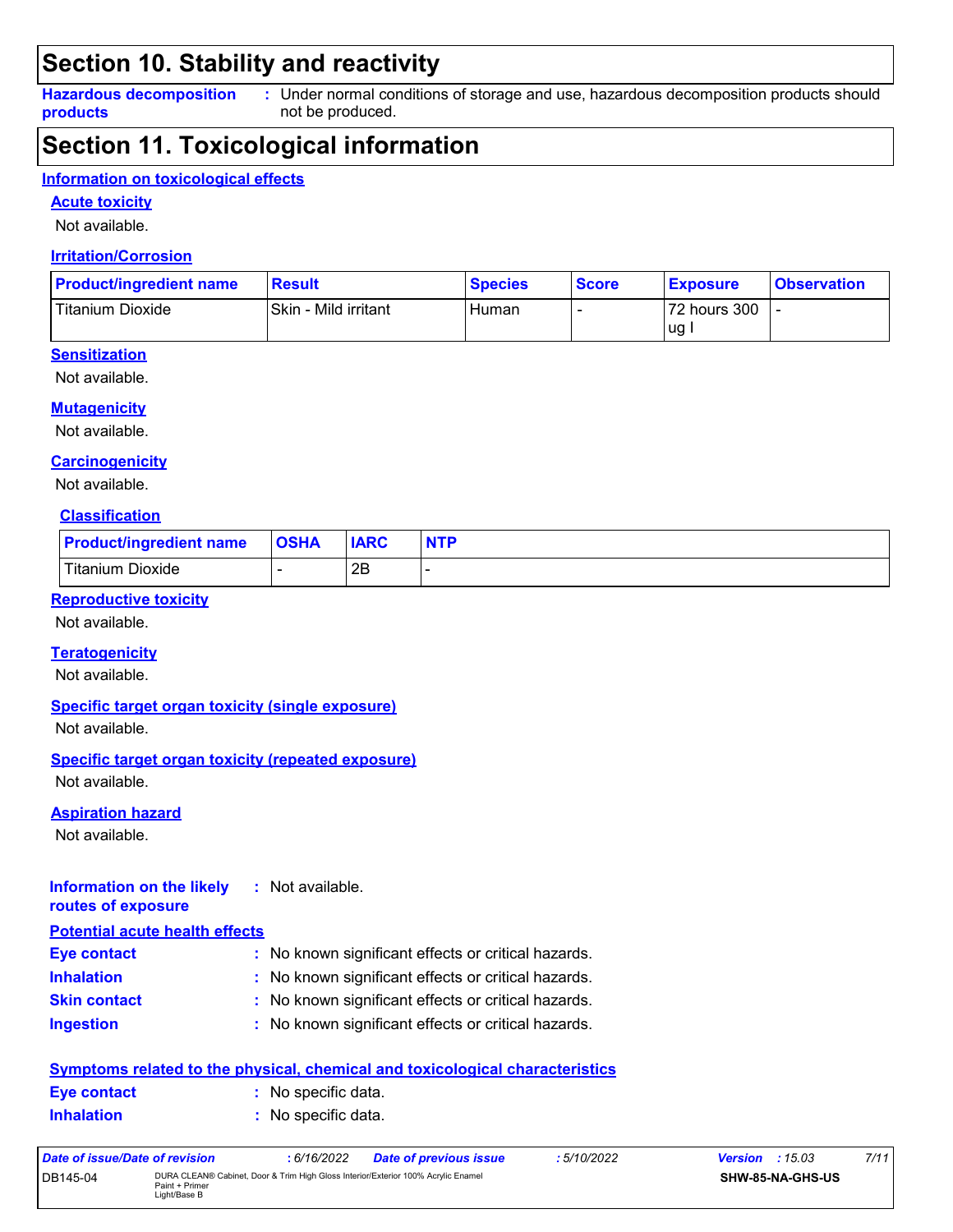## **Section 10. Stability and reactivity**

**Hazardous decomposition products** Under normal conditions of storage and use, hazardous decomposition products should **:** not be produced.

## **Section 11. Toxicological information**

#### **Information on toxicological effects**

**Acute toxicity**

Not available.

#### **Irritation/Corrosion**

| <b>Product/ingredient name</b> | <b>Result</b>        | <b>Species</b> | <b>Score</b> | <b>Exposure</b> | <b>Observation</b> |
|--------------------------------|----------------------|----------------|--------------|-----------------|--------------------|
| Titanium Dioxide               | Skin - Mild irritant | Human          |              | 72 hours 300    |                    |
|                                |                      |                |              | lug.            |                    |

#### **Sensitization**

Not available.

#### **Mutagenicity**

Not available.

#### **Carcinogenicity**

Not available.

#### **Classification**

| <b>Product/ingredient name</b> | <b>OSHA</b> | <b>IARC</b> | <b>NTP</b> |
|--------------------------------|-------------|-------------|------------|
| <b>Titanium Dioxide</b>        |             | 2Β          |            |

#### **Reproductive toxicity**

Not available.

#### **Teratogenicity**

Not available.

#### **Specific target organ toxicity (single exposure)**

Not available.

#### **Specific target organ toxicity (repeated exposure)**

Not available.

#### **Aspiration hazard**

Not available.

#### **Information on the likely routes of exposure :** Not available.

#### **Potential acute health effects**

| Eye contact         | : No known significant effects or critical hazards. |
|---------------------|-----------------------------------------------------|
| <b>Inhalation</b>   | : No known significant effects or critical hazards. |
| <b>Skin contact</b> | : No known significant effects or critical hazards. |
| <b>Ingestion</b>    | : No known significant effects or critical hazards. |

| <u>Symptoms related to the physical, chemical and toxicological characteristics</u> |  |                     |  |  |
|-------------------------------------------------------------------------------------|--|---------------------|--|--|
| Eye contact                                                                         |  | : No specific data. |  |  |
| <b>Inhalation</b>                                                                   |  | : No specific data. |  |  |

| Date of issue/Date of revision |                                                                                                                     | : 6/16/2022 | <b>Date of previous issue</b> | : 5/10/2022 | <b>Version</b> : $15.03$ |                         | 7/11 |
|--------------------------------|---------------------------------------------------------------------------------------------------------------------|-------------|-------------------------------|-------------|--------------------------|-------------------------|------|
| DB145-04                       | DURA CLEAN® Cabinet, Door & Trim High Gloss Interior/Exterior 100% Acrylic Enamel<br>Paint + Primer<br>Light/Base B |             |                               |             |                          | <b>SHW-85-NA-GHS-US</b> |      |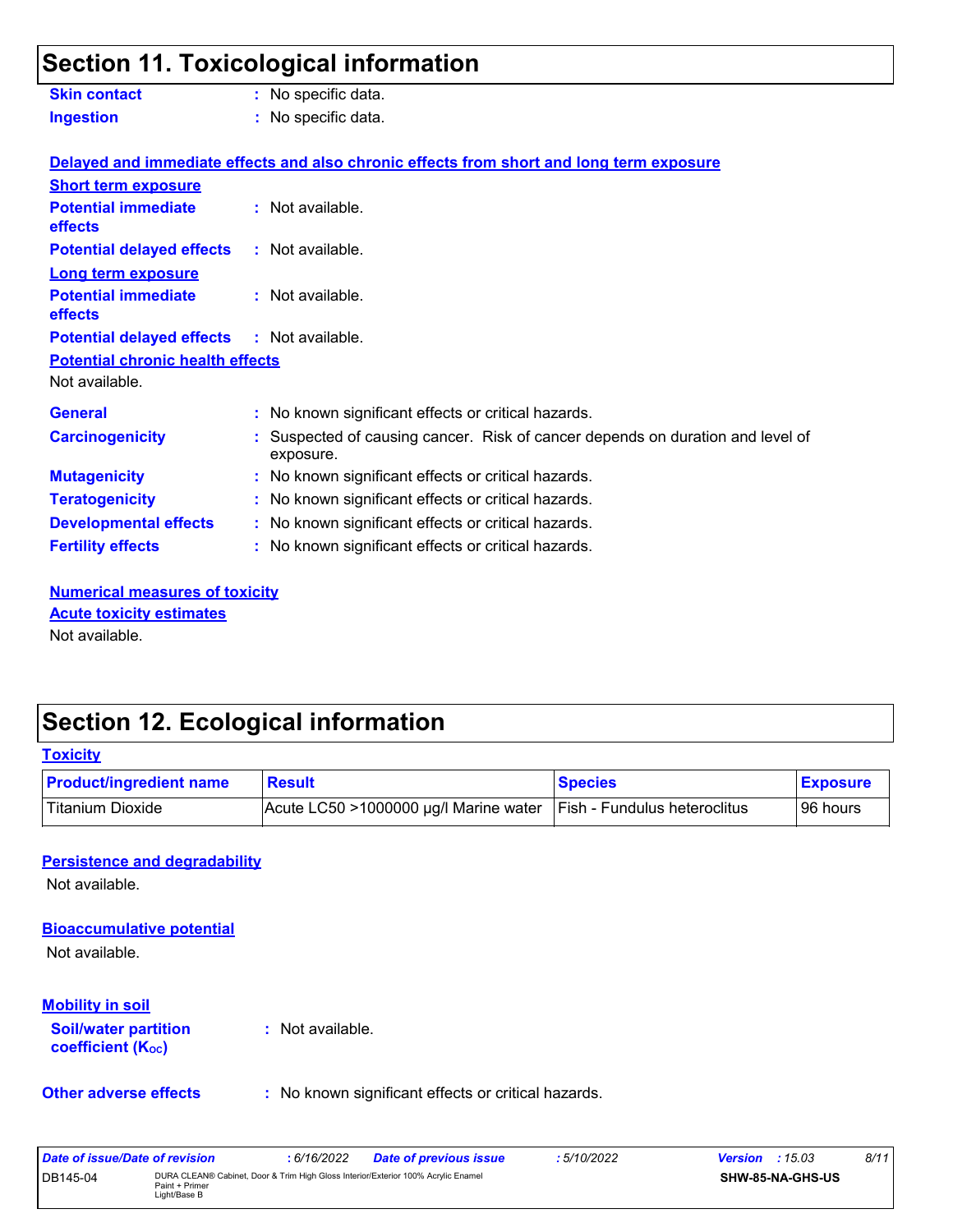## **Section 11. Toxicological information**

| <b>Skin contact</b>                               | : No specific data.                                                                         |  |  |  |
|---------------------------------------------------|---------------------------------------------------------------------------------------------|--|--|--|
| <b>Ingestion</b>                                  | : No specific data.                                                                         |  |  |  |
|                                                   | Delayed and immediate effects and also chronic effects from short and long term exposure    |  |  |  |
| <b>Short term exposure</b>                        |                                                                                             |  |  |  |
| <b>Potential immediate</b><br>effects             | $:$ Not available.                                                                          |  |  |  |
| <b>Potential delayed effects</b>                  | : Not available.                                                                            |  |  |  |
| <b>Long term exposure</b>                         |                                                                                             |  |  |  |
| <b>Potential immediate</b><br>effects             | : Not available.                                                                            |  |  |  |
| <b>Potential delayed effects : Not available.</b> |                                                                                             |  |  |  |
| <b>Potential chronic health effects</b>           |                                                                                             |  |  |  |
| Not available.                                    |                                                                                             |  |  |  |
| <b>General</b>                                    | : No known significant effects or critical hazards.                                         |  |  |  |
| <b>Carcinogenicity</b>                            | : Suspected of causing cancer. Risk of cancer depends on duration and level of<br>exposure. |  |  |  |
| <b>Mutagenicity</b>                               | : No known significant effects or critical hazards.                                         |  |  |  |
| <b>Teratogenicity</b>                             | : No known significant effects or critical hazards.                                         |  |  |  |
| <b>Developmental effects</b>                      | : No known significant effects or critical hazards.                                         |  |  |  |
| <b>Fertility effects</b>                          | : No known significant effects or critical hazards.                                         |  |  |  |

**Numerical measures of toxicity** Not available. **Acute toxicity estimates**

## **Section 12. Ecological information**

DB145-04 DURA CLEAN® Cabinet, Door & Trim High Gloss Interior/Exterior 100% Acrylic Enamel

Paint + Primer<br>Light/Base B

| <b>Product/ingredient name</b>                          | <b>Result</b>                                       | <b>Species</b>                        | <b>Exposure</b> |
|---------------------------------------------------------|-----------------------------------------------------|---------------------------------------|-----------------|
| <b>Titanium Dioxide</b>                                 | Acute LC50 >1000000 µg/l Marine water               | Fish - Fundulus heteroclitus          | 96 hours        |
| <b>Persistence and degradability</b>                    |                                                     |                                       |                 |
| Not available.                                          |                                                     |                                       |                 |
| <b>Bioaccumulative potential</b>                        |                                                     |                                       |                 |
| Not available.                                          |                                                     |                                       |                 |
| <b>Mobility in soil</b>                                 |                                                     |                                       |                 |
| <b>Soil/water partition</b><br><b>coefficient (Koc)</b> | : Not available.                                    |                                       |                 |
| <b>Other adverse effects</b>                            | : No known significant effects or critical hazards. |                                       |                 |
| <b>Date of issue/Date of revision</b>                   | : 6/16/2022<br><b>Date of previous issue</b>        | : 5/10/2022<br><b>Version</b> : 15.03 | 8/11            |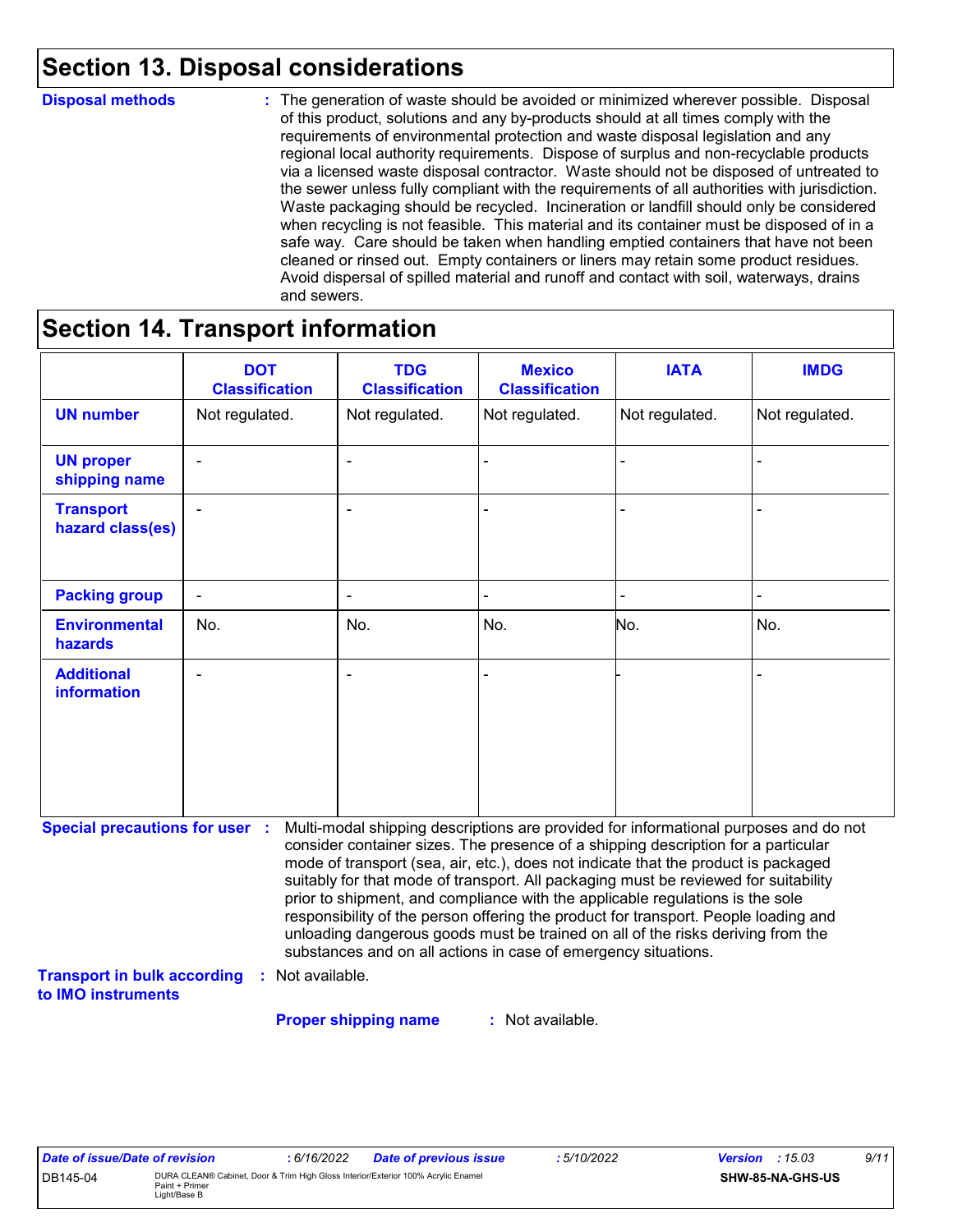## **Section 13. Disposal considerations**

#### **Disposal methods :**

The generation of waste should be avoided or minimized wherever possible. Disposal of this product, solutions and any by-products should at all times comply with the requirements of environmental protection and waste disposal legislation and any regional local authority requirements. Dispose of surplus and non-recyclable products via a licensed waste disposal contractor. Waste should not be disposed of untreated to the sewer unless fully compliant with the requirements of all authorities with jurisdiction. Waste packaging should be recycled. Incineration or landfill should only be considered when recycling is not feasible. This material and its container must be disposed of in a safe way. Care should be taken when handling emptied containers that have not been cleaned or rinsed out. Empty containers or liners may retain some product residues. Avoid dispersal of spilled material and runoff and contact with soil, waterways, drains and sewers.

## **Section 14. Transport information**

|                                                                                                   | <b>DOT</b><br><b>Classification</b> | <b>TDG</b><br><b>Classification</b>                            | <b>Mexico</b><br><b>Classification</b> | <b>IATA</b>                                                                                                                                                                                                                                                                                                                                                                                                                                                                                                                                                                                                       | <b>IMDG</b>    |
|---------------------------------------------------------------------------------------------------|-------------------------------------|----------------------------------------------------------------|----------------------------------------|-------------------------------------------------------------------------------------------------------------------------------------------------------------------------------------------------------------------------------------------------------------------------------------------------------------------------------------------------------------------------------------------------------------------------------------------------------------------------------------------------------------------------------------------------------------------------------------------------------------------|----------------|
| <b>UN number</b>                                                                                  | Not regulated.                      | Not regulated.                                                 | Not regulated.                         | Not regulated.                                                                                                                                                                                                                                                                                                                                                                                                                                                                                                                                                                                                    | Not regulated. |
| <b>UN proper</b><br>shipping name                                                                 |                                     |                                                                |                                        |                                                                                                                                                                                                                                                                                                                                                                                                                                                                                                                                                                                                                   |                |
| <b>Transport</b><br>hazard class(es)                                                              |                                     |                                                                |                                        |                                                                                                                                                                                                                                                                                                                                                                                                                                                                                                                                                                                                                   |                |
| <b>Packing group</b>                                                                              | $\frac{1}{2}$                       | $\overline{\phantom{a}}$                                       |                                        |                                                                                                                                                                                                                                                                                                                                                                                                                                                                                                                                                                                                                   |                |
| <b>Environmental</b><br>hazards                                                                   | No.                                 | No.                                                            | No.                                    | No.                                                                                                                                                                                                                                                                                                                                                                                                                                                                                                                                                                                                               | No.            |
| <b>Additional</b><br><b>information</b>                                                           |                                     |                                                                |                                        |                                                                                                                                                                                                                                                                                                                                                                                                                                                                                                                                                                                                                   |                |
| <b>Special precautions for user :</b><br><b>Transport in bulk according</b><br>to IMO instruments | Not available.                      | substances and on all actions in case of emergency situations. |                                        | Multi-modal shipping descriptions are provided for informational purposes and do not<br>consider container sizes. The presence of a shipping description for a particular<br>mode of transport (sea, air, etc.), does not indicate that the product is packaged<br>suitably for that mode of transport. All packaging must be reviewed for suitability<br>prior to shipment, and compliance with the applicable regulations is the sole<br>responsibility of the person offering the product for transport. People loading and<br>unloading dangerous goods must be trained on all of the risks deriving from the |                |

**Proper shipping name :**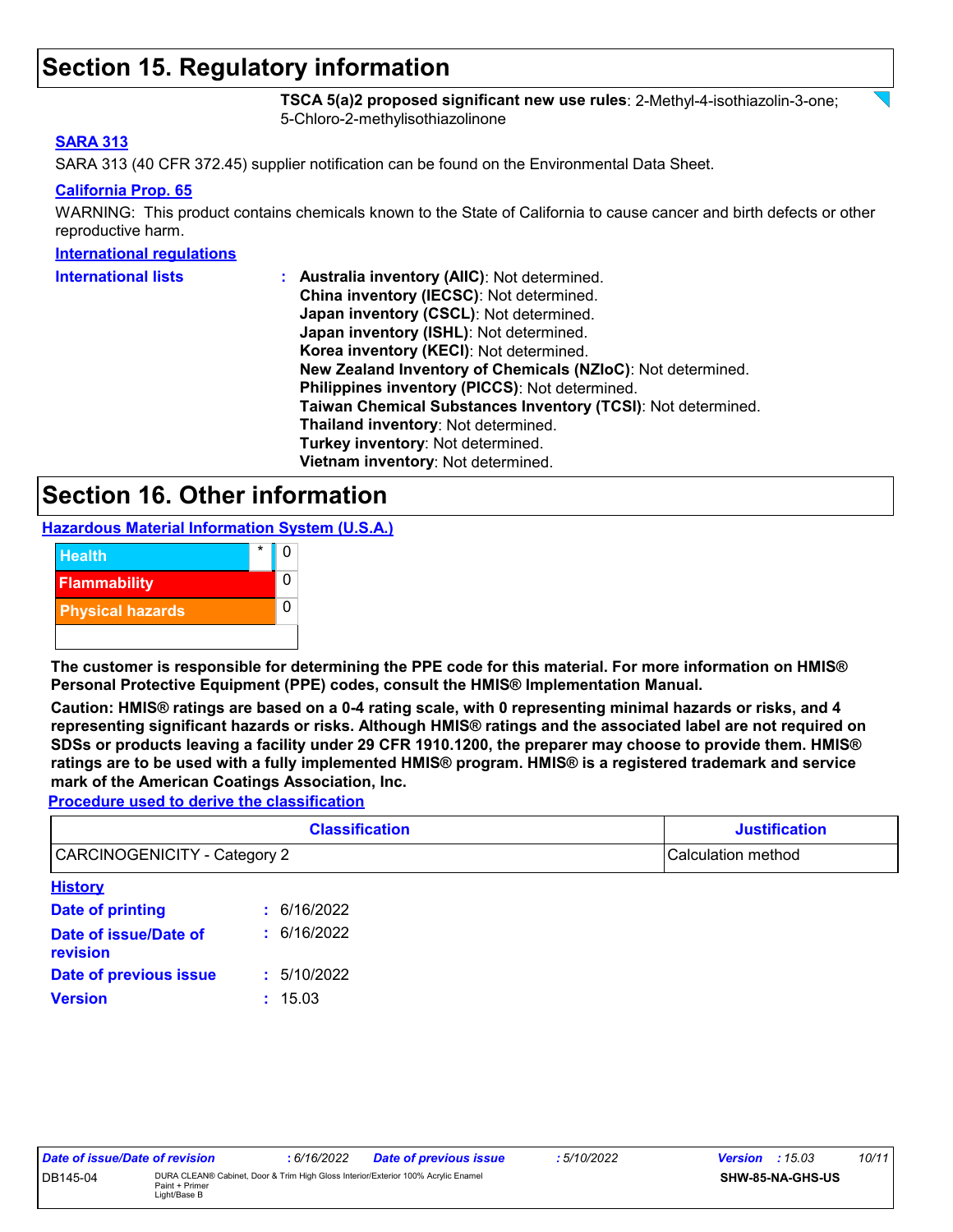## **Section 15. Regulatory information**

**TSCA 5(a)2 proposed significant new use rules**: 2-Methyl-4-isothiazolin-3-one; 5-Chloro-2-methylisothiazolinone

#### **SARA 313**

SARA 313 (40 CFR 372.45) supplier notification can be found on the Environmental Data Sheet.

#### **California Prop. 65**

WARNING: This product contains chemicals known to the State of California to cause cancer and birth defects or other reproductive harm.

#### **International regulations**

| <b>International lists</b> | : Australia inventory (AIIC): Not determined.                |
|----------------------------|--------------------------------------------------------------|
|                            | China inventory (IECSC): Not determined.                     |
|                            | Japan inventory (CSCL): Not determined.                      |
|                            | Japan inventory (ISHL): Not determined.                      |
|                            | Korea inventory (KECI): Not determined.                      |
|                            | New Zealand Inventory of Chemicals (NZIoC): Not determined.  |
|                            | Philippines inventory (PICCS): Not determined.               |
|                            | Taiwan Chemical Substances Inventory (TCSI): Not determined. |
|                            | Thailand inventory: Not determined.                          |
|                            | Turkey inventory: Not determined.                            |
|                            | Vietnam inventory: Not determined.                           |

### **Section 16. Other information**

**Hazardous Material Information System (U.S.A.)**



**The customer is responsible for determining the PPE code for this material. For more information on HMIS® Personal Protective Equipment (PPE) codes, consult the HMIS® Implementation Manual.**

**Caution: HMIS® ratings are based on a 0-4 rating scale, with 0 representing minimal hazards or risks, and 4 representing significant hazards or risks. Although HMIS® ratings and the associated label are not required on SDSs or products leaving a facility under 29 CFR 1910.1200, the preparer may choose to provide them. HMIS® ratings are to be used with a fully implemented HMIS® program. HMIS® is a registered trademark and service mark of the American Coatings Association, Inc.**

**Procedure used to derive the classification**

| <b>Classification</b>               |             | <b>Justification</b> |
|-------------------------------------|-------------|----------------------|
| <b>CARCINOGENICITY - Category 2</b> |             | Calculation method   |
| <b>History</b>                      |             |                      |
| Date of printing                    | : 6/16/2022 |                      |
| Date of issue/Date of<br>revision   | : 6/16/2022 |                      |
| Date of previous issue              | 5/10/2022   |                      |

**Version :** 15.03

| Date of issue/Date of revision |                                | : 6/16/2022 | <b>Date of previous issue</b>                                                     | : 5/10/2022 | <b>Version</b> : $15.03$ | 10/11 |
|--------------------------------|--------------------------------|-------------|-----------------------------------------------------------------------------------|-------------|--------------------------|-------|
| DB145-04                       | Paint + Primer<br>_ight/Base B |             | DURA CLEAN® Cabinet, Door & Trim High Gloss Interior/Exterior 100% Acrylic Enamel |             | SHW-85-NA-GHS-US         |       |